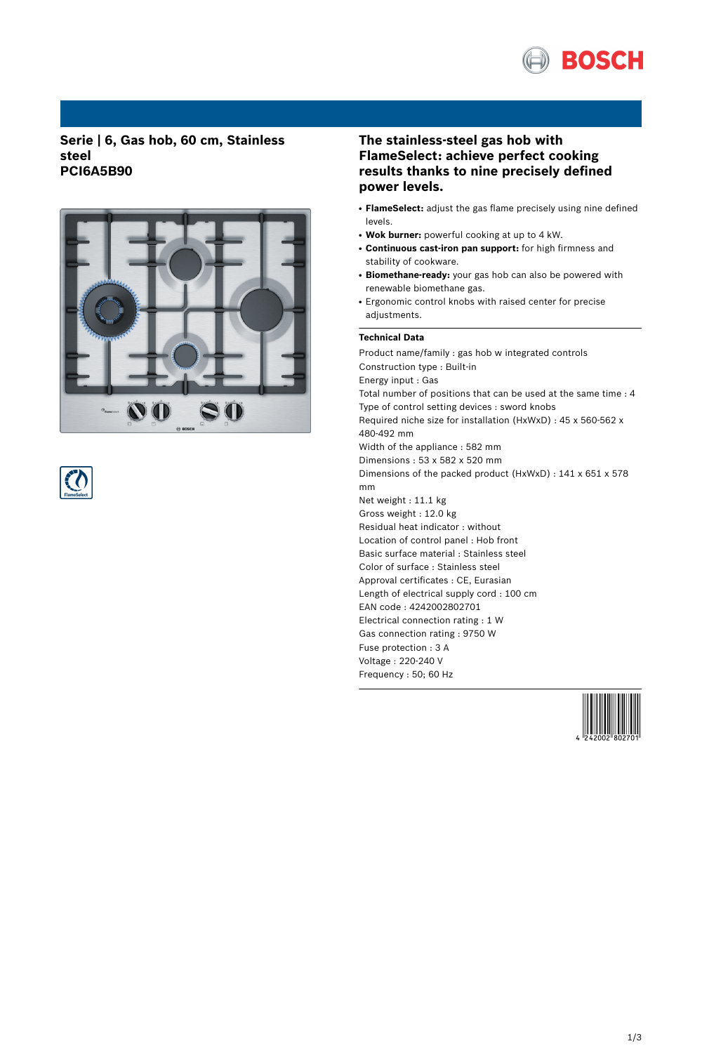

### **Serie | 6, Gas hob, 60 cm, Stainless steel PCI6A5B90**





# **The stainless-steel gas hob with FlameSelect: achieve perfect cooking results thanks to nine precisely defined power levels.**

- **FlameSelect:** adjust the gas flame precisely using nine defined levels.
- Wok burner: powerful cooking at up to 4 kW.
- **Continuous cast-iron pan support:** for high firmness and stability of cookware.
- Biomethane-ready: your gas hob can also be powered with renewable biomethane gas.
- Ergonomic control knobs with raised center for precise adjustments.

### **Technical Data**

Product name/family : gas hob w integrated controls Construction type : Built-in Energy input : Gas Total number of positions that can be used at the same time : 4 Type of control setting devices : sword knobs Required niche size for installation (HxWxD) : 45 x 560-562 x 480-492 mm Width of the appliance : 582 mm Dimensions : 53 x 582 x 520 mm Dimensions of the packed product (HxWxD) : 141 x 651 x 578 mm Net weight : 11.1 kg Gross weight : 12.0 kg Residual heat indicator : without Location of control panel : Hob front Basic surface material : Stainless steel Color of surface : Stainless steel Approval certificates : CE, Eurasian Length of electrical supply cord : 100 cm EAN code : 4242002802701 Electrical connection rating : 1 W Gas connection rating : 9750 W Fuse protection : 3 A Voltage : 220-240 V Frequency : 50; 60 Hz

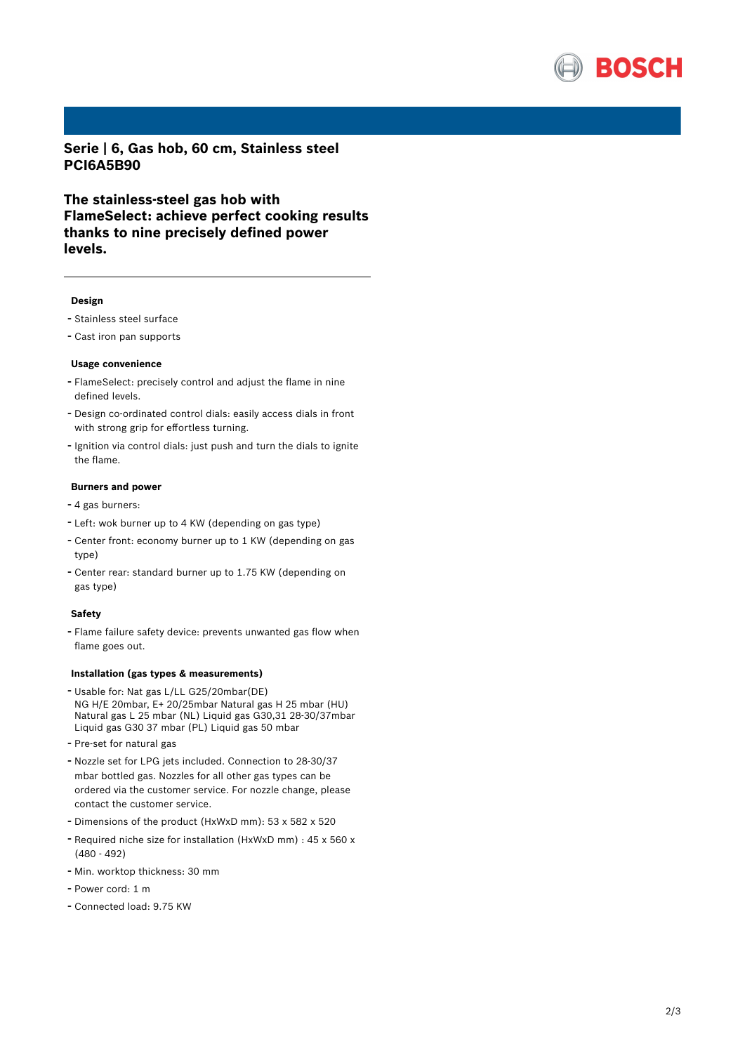

**Serie | 6, Gas hob, 60 cm, Stainless steel PCI6A5B90**

**The stainless-steel gas hob with FlameSelect: achieve perfect cooking results thanks to nine precisely defined power levels.**

#### **Design**

- Stainless steel surface
- Cast iron pan supports

#### **Usage convenience**

- FlameSelect: precisely control and adjust the flame in nine defined levels.
- Design co-ordinated control dials: easily access dials in front with strong grip for effortless turning.
- Ignition via control dials: just push and turn the dials to ignite the flame.

#### **Burners and power**

- <sup>4</sup> gas burners:
- Left: wok burner up to <sup>4</sup> KW (depending on gas type)
- Center front: economy burner up to <sup>1</sup> KW (depending on gas type)
- Center rear: standard burner up to 1.75 KW (depending on gas type)

#### **Safety**

- Flame failure safety device: prevents unwanted gas flow when flame goes out.

#### **Installation (gas types & measurements)**

- Usable for: Nat gas L/LL G25/20mbar(DE) NG H/E 20mbar, E+ 20/25mbar Natural gas H 25 mbar (HU) Natural gas L 25 mbar (NL) Liquid gas G30,31 28-30/37mbar Liquid gas G30 37 mbar (PL) Liquid gas 50 mbar
- Pre-set for natural gas
- Nozzle set for LPG jets included. Connection to 28-30/37 mbar bottled gas. Nozzles for all other gas types can be ordered via the customer service. For nozzle change, please contact the customer service.
- Dimensions of the product (HxWxD mm): <sup>53</sup> <sup>x</sup> <sup>582</sup> <sup>x</sup> <sup>520</sup>
- Required niche size for installation (HxWxD mm) : <sup>45</sup> <sup>x</sup> <sup>560</sup> <sup>x</sup> (480 - 492)
- Min. worktop thickness: <sup>30</sup> mm
- Power cord: <sup>1</sup> <sup>m</sup>
- Connected load: 9.75 KW